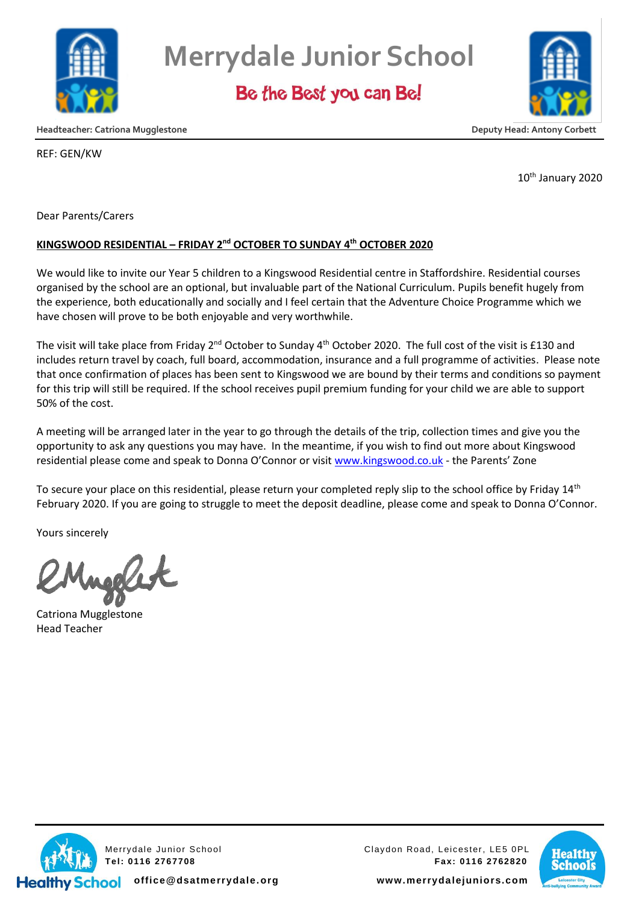

**Merrydale Junior School**

Be the Best you can Be!



**Headteacher: Catriona Mugglestone Deputy Head: Antony Corbett**

REF: GEN/KW

10<sup>th</sup> January 2020

Dear Parents/Carers

## **KINGSWOOD RESIDENTIAL – FRIDAY 2nd OCTOBER TO SUNDAY 4th OCTOBER 2020**

We would like to invite our Year 5 children to a Kingswood Residential centre in Staffordshire. Residential courses organised by the school are an optional, but invaluable part of the National Curriculum. Pupils benefit hugely from the experience, both educationally and socially and I feel certain that the Adventure Choice Programme which we have chosen will prove to be both enjoyable and very worthwhile.

The visit will take place from Friday 2<sup>nd</sup> October to Sunday 4<sup>th</sup> October 2020. The full cost of the visit is £130 and includes return travel by coach, full board, accommodation, insurance and a full programme of activities. Please note that once confirmation of places has been sent to Kingswood we are bound by their terms and conditions so payment for this trip will still be required. If the school receives pupil premium funding for your child we are able to support 50% of the cost.

A meeting will be arranged later in the year to go through the details of the trip, collection times and give you the opportunity to ask any questions you may have. In the meantime, if you wish to find out more about Kingswood residential please come and speak to Donna O'Connor or visit [www.kingswood.co.uk](http://www.kingswood.co.uk/) - the Parents' Zone

To secure your place on this residential, please return your completed reply slip to the school office by Friday  $14<sup>th</sup>$ February 2020. If you are going to struggle to meet the deposit deadline, please come and speak to Donna O'Connor.

Yours sincerely

Catriona Mugglestone Head Teacher



Merrydale Junior School Claydon Road, Leicester, LE5 0PL **Tel: 0116 2767708 Fax: 0116 2762820**



**office@dsatmerrydale.org www.merrydalejuniors.com**